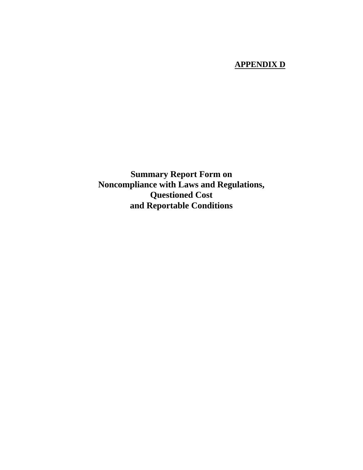## **APPENDIX D**

**Summary Report Form on Noncompliance with Laws and Regulations, Questioned Cost and Reportable Conditions**